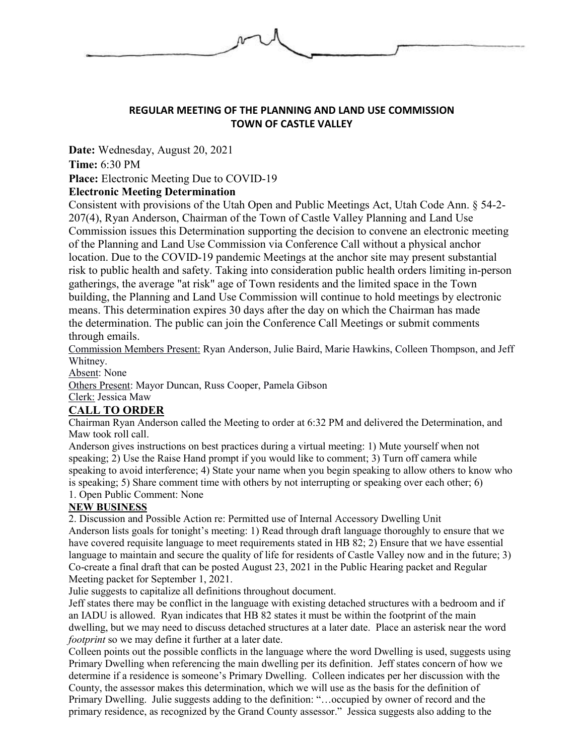

### **REGULAR MEETING OF THE PLANNING AND LAND USE COMMISSION TOWN OF CASTLE VALLEY**

**Date:** Wednesday, August 20, 2021

**Time:** 6:30 PM

**Place:** Electronic Meeting Due to COVID-19

### **Electronic Meeting Determination**

Consistent with provisions of the Utah Open and Public Meetings Act, Utah Code Ann. § 54-2- 207(4), Ryan Anderson, Chairman of the Town of Castle Valley Planning and Land Use Commission issues this Determination supporting the decision to convene an electronic meeting of the Planning and Land Use Commission via Conference Call without a physical anchor location. Due to the COVID-19 pandemic Meetings at the anchor site may present substantial risk to public health and safety. Taking into consideration public health orders limiting in-person gatherings, the average "at risk" age of Town residents and the limited space in the Town building, the Planning and Land Use Commission will continue to hold meetings by electronic means. This determination expires 30 days after the day on which the Chairman has made the determination. The public can join the Conference Call Meetings or submit comments through emails.

Commission Members Present: Ryan Anderson, Julie Baird, Marie Hawkins, Colleen Thompson, and Jeff Whitney.

Absent: None Others Present: Mayor Duncan, Russ Cooper, Pamela Gibson Clerk: Jessica Maw

## **CALL TO ORDER**

Chairman Ryan Anderson called the Meeting to order at 6:32 PM and delivered the Determination, and Maw took roll call.

Anderson gives instructions on best practices during a virtual meeting: 1) Mute yourself when not speaking; 2) Use the Raise Hand prompt if you would like to comment; 3) Turn off camera while speaking to avoid interference; 4) State your name when you begin speaking to allow others to know who is speaking; 5) Share comment time with others by not interrupting or speaking over each other; 6)

# 1. Open Public Comment: None

### **NEW BUSINESS**

2. Discussion and Possible Action re: Permitted use of Internal Accessory Dwelling Unit Anderson lists goals for tonight's meeting: 1) Read through draft language thoroughly to ensure that we have covered requisite language to meet requirements stated in HB 82; 2) Ensure that we have essential language to maintain and secure the quality of life for residents of Castle Valley now and in the future; 3) Co-create a final draft that can be posted August 23, 2021 in the Public Hearing packet and Regular Meeting packet for September 1, 2021.

Julie suggests to capitalize all definitions throughout document.

Jeff states there may be conflict in the language with existing detached structures with a bedroom and if an IADU is allowed. Ryan indicates that HB 82 states it must be within the footprint of the main dwelling, but we may need to discuss detached structures at a later date. Place an asterisk near the word *footprint* so we may define it further at a later date.

Colleen points out the possible conflicts in the language where the word Dwelling is used, suggests using Primary Dwelling when referencing the main dwelling per its definition. Jeff states concern of how we determine if a residence is someone's Primary Dwelling. Colleen indicates per her discussion with the County, the assessor makes this determination, which we will use as the basis for the definition of Primary Dwelling. Julie suggests adding to the definition: "…occupied by owner of record and the primary residence, as recognized by the Grand County assessor." Jessica suggests also adding to the